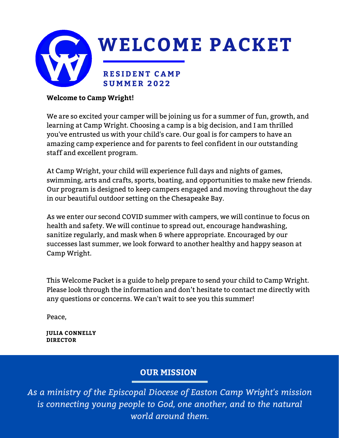

#### **Welcome to Camp Wright!**

We are so excited your camper will be joining us for a summer of fun, growth, and learning at Camp Wright. Choosing a camp is a big decision, and I am thrilled you've entrusted us with your child's care. Our goal is for campers to have an amazing camp experience and for parents to feel confident in our outstanding staff and excellent program.

At Camp Wright, your child will experience full days and nights of games, swimming, arts and crafts, sports, boating, and opportunities to make new friends. Our program is designed to keep campers engaged and moving throughout the day in our beautiful outdoor setting on the Chesapeake Bay.

As we enter our second COVID summer with campers, we will continue to focus on health and safety. We will continue to spread out, encourage handwashing, sanitize regularly, and mask when & where appropriate. Encouraged by our successes last summer, we look forward to another healthy and happy season at Camp Wright.

This Welcome Packet is a guide to help prepare to send your child to Camp Wright. Please look through the information and don't hesitate to contact me directly with any questions or concerns. We can't wait to see you this summer!

Peace,

**JULIA CONNELLY DIRECTOR**

#### **OUR MISSION**

*As a ministry of the Episcopal Diocese of Easton Camp Wright's mission is connecting young people to God, one another, and to the natural world around them.*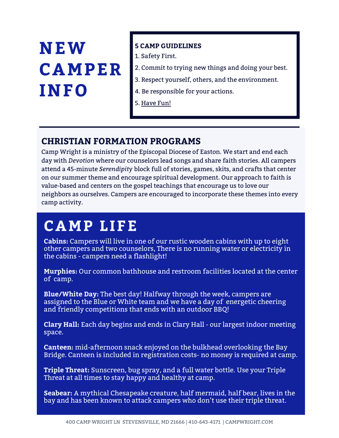### **NEW CAMPER INFO**

#### **5 CAMP GUIDELINES**

- 1. Safety First.
- 2. Commit to trying new things and doing your best.
- 3. Respect yourself, others, and the environment.
- 4. Be responsible for your actions.
- 5. Have Fun!

### **CHRISTIAN FORMATION PROGRAMS**

Camp Wright is a ministry of the Episcopal Diocese of Easton. We start and end each day with *Devotion* where our counselors lead songs and share faith stories. All campers attend a 45-minute *Serendipity* block full of stories, games, skits, and crafts that center on our summer theme and encourage spiritual development. Our approach to faith is value-based and centers on the gospel teachings that encourage us to love our neighbors as ourselves. Campers are encouraged to incorporate these themes into every camp activity.

### **CAMP LIFE**

**Cabins:** Campers will live in one of our rustic wooden cabins with up to eight other campers and two counselors, There is no running water or electricity in the cabins - campers need a flashlight!

**Murphies:** Our common bathhouse and restroom facilities located at the center of camp.

**Blue/White Day:** The best day! Halfway through the week, campers are assigned to the Blue or White team and we have a day of energetic cheering and friendly competitions that ends with an outdoor BBQ!

**Clary Hall:** Each day begins and ends in Clary Hall - our largest indoor meeting space.

**Canteen:** mid-afternoon snack enjoyed on the bulkhead overlooking the Bay Bridge. Canteen is included in registration costs- no money is required at camp.

**Triple Threat:** Sunscreen, bug spray, and a full water bottle. Use your Triple Threat at all times to stay happy and healthy at camp.

**Seabear:** A mythical Chesapeake creature, half mermaid, half bear, lives in the bay and has been known to attack campers who don't use their triple threat.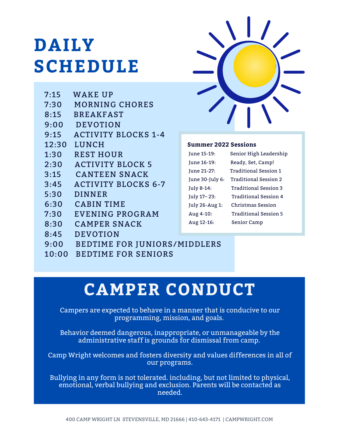### **DAILY SCHEDULE**

| 7:15  | <b>WAKE UP</b>                      |                           |
|-------|-------------------------------------|---------------------------|
| 7:30  | <b>MORNING CHORES</b>               |                           |
| 8:15  | <b>BREAKFAST</b>                    |                           |
| 9:00  | <b>DEVOTION</b>                     |                           |
| 9:15  | <b>ACTIVITY BLOCKS 1-4</b>          |                           |
| 12:30 | LUNCH                               | <b>Summer 20</b>          |
| 1:30  | <b>REST HOUR</b>                    | June 15-19:               |
| 2:30  | <b>ACTIVITY BLOCK 5</b>             | June 16-19:               |
| 3:15  | <b>CANTEEN SNACK</b>                | June 21-27:               |
| 3:45  | <b>ACTIVITY BLOCKS 6-7</b>          | June 30-July 6            |
| 5:30  | <b>DINNER</b>                       | July 8-14:<br>July 17-23: |
| 6:30  | <b>CABIN TIME</b>                   | July 26-Aug 1             |
| 7:30  | <b>EVENING PROGRAM</b>              | Aug 4-10:                 |
| 8:30  | <b>CAMPER SNACK</b>                 | Aug 12-16:                |
| 8:45  | <b>DEVOTION</b>                     |                           |
| 9:00  | <b>BEDTIME FOR JUNIORS/MIDDLERS</b> |                           |
| 10:00 | <b>BEDTIME FOR SENIORS</b>          |                           |
|       |                                     |                           |



#### **Summer 2022 Sessions**

| June 15-19:     | Senior High Leadership       |
|-----------------|------------------------------|
| June 16-19:     | Ready, Set, Camp!            |
| June 21-27:     | <b>Traditional Session 1</b> |
| June 30-July 6: | Traditional Session 2        |
| July 8-14:      | Traditional Session 3        |
| July 17-23:     | Traditional Session 4        |
| July 26-Aug 1:  | Christmas Session            |
| Aug 4-10:       | Traditional Session 5        |
| Aug 12-16:      | Senior Camp                  |
|                 |                              |

### **CAMPER CONDUCT**

Campers are expected to behave in a manner that is conducive to our programming, mission, and goals.

Behavior deemed dangerous, inappropriate, or unmanageable by the administrative staff is grounds for dismissal from camp.

Camp Wright welcomes and fosters diversity and values differences in all of our programs.

Bullying in any form is not tolerated. including, but not limited to physical, emotional, verbal bullying and exclusion. Parents will be contacted as needed.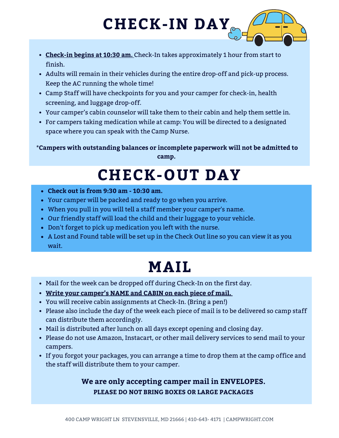# **CHECK-IN DAY**

- **Check-in begins at 10:30 am.** Check-In takes approximately 1 hour from start to finish.
- Adults will remain in their vehicles during the entire drop-off and pick-up process. Keep the AC running the whole time!
- Camp Staff will have checkpoints for you and your camper for check-in, health screening, and luggage drop-off.
- Your camper's cabin counselor will take them to their cabin and help them settle in.
- For campers taking medication while at camp: You will be directed to a designated space where you can speak with the Camp Nurse.

**\*Campers with outstanding balances or incomplete paperwork will not be admitted to camp.**

### **CHECK-OUT DAY**

- **Check out is from 9:30 am - 10:30 am.**
- Your camper will be packed and ready to go when you arrive.
- When you pull in you will tell a staff member your camper's name.
- Our friendly staff will load the child and their luggage to your vehicle.
- Don't forget to pick up medication you left with the nurse.
- A Lost and Found table will be set up in the Check Out line so you can view it as you wait.

### **MAIL**

- Mail for the week can be dropped off during Check-In on the first day.
- **Write your camper's NAME and CABIN on each piece of mail.**
- You will receive cabin assignments at Check-In. (Bring a pen!)
- Please also include the day of the week each piece of mail is to be delivered so camp staff can distribute them accordingly.
- Mail is distributed after lunch on all days except opening and closing day.
- Please do not use Amazon, Instacart, or other mail delivery services to send mail to your campers.
- If you forgot your packages, you can arrange a time to drop them at the camp office and the staff will distribute them to your camper.

#### **We are only accepting camper mail in ENVELOPES. PLEASE DO NOT BRING BOXES OR LARGE PACKAGES**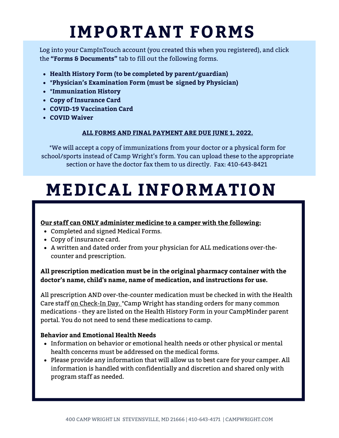### **IMPORTANT FORMS**

Log into your CampInTouch account (you created this when you registered), and click the **"Forms & Documents"** tab to fill out the following forms.

- **Health History Form (to be completed by parent/guardian)**
- **\*Physician's Examination Form (must be signed by Physician)**
- **\*Immunization History**
- **Copy of Insurance Card**
- **COVID-19 Vaccination Card**
- **COVID Waiver**

#### **ALL FORMS AND FINAL PAYMENT ARE DUE JUNE 1, 2022.**

\*We will accept a copy of immunizations from your doctor or a physical form for school/sports instead of Camp Wright's form. You can upload these to the appropriate section or have the doctor fax them to us directly. Fax: 410-643-8421

### **MEDICAL INFORMATION**

#### **Our staff can ONLY administer medicine to a camper with the following:**

- Completed and signed Medical Forms.
- Copy of insurance card.
- A written and dated order from your physician for ALL medications over-thecounter and prescription.

#### **All prescription medication must be in the original pharmacy container with the doctor's name, child's name, name of medication, and instructions for use.**

All prescription AND over-the-counter medication must be checked in with the Health Care staff on Check-In Day. \*Camp Wright has standing orders for many common medications - they are listed on the Health History Form in your CampMinder parent portal. You do not need to send these medications to camp.

#### **Behavior and Emotional Health Needs**

- Information on behavior or emotional health needs or other physical or mental health concerns must be addressed on the medical forms.
- Please provide any information that will allow us to best care for your camper. All information is handled with confidentially and discretion and shared only with program staff as needed.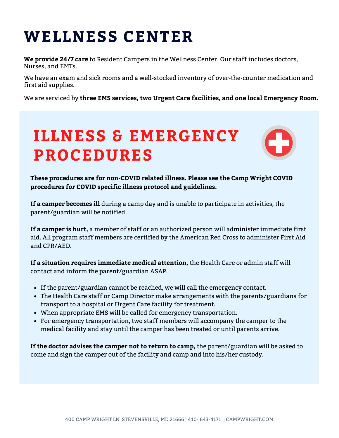### **WELLNESS CENTER**

**We provide 24/7 care** to Resident Campers in the Wellness Center. Our staff includes doctors, Nurses, and EMTs.

We have an exam and sick rooms and a well-stocked inventory of over-the-counter medication and first aid supplies.

We are serviced by **three EMS services, two Urgent Care facilities, and one local Emergency Room.**

### **ILLNESS & EMERGENCY PROCEDURES**



**These procedures are for non-COVID related illness. Please see the Camp Wright COVID procedures for COVID specific illness protocol and guidelines.**

**If a camper becomes ill** during a camp day and is unable to participate in activities, the parent/guardian will be notified.

**If a camper is hurt,** a member of staff or an authorized person will administer immediate first aid. All program staff members are certified by the American Red Cross to administer First Aid and CPR/AED.

**If a situation requires immediate medical attention,** the Health Care or admin staff will contact and inform the parent/guardian ASAP.

- If the parent/guardian cannot be reached, we will call the emergency contact.
- The Health Care staff or Camp Director make arrangements with the parents/guardians for transport to a hospital or Urgent Care facility for treatment.
- When appropriate EMS will be called for emergency transportation.
- For emergency transportation, two staff members will accompany the camper to the medical facility and stay until the camper has been treated or until parents arrive.

**If the doctor advises the camper not to return to camp,** the parent/guardian will be asked to come and sign the camper out of the facility and camp and into his/her custody.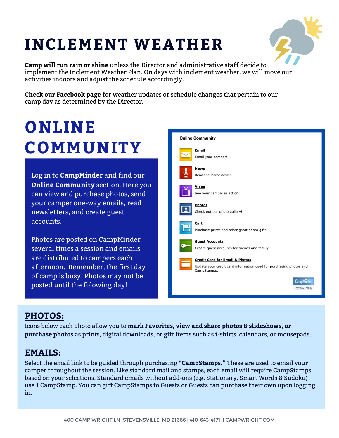### **INCLEMENT WEATHER**



**Camp will run rain or shine** unless the Director and administrative staff decide to implement the Inclement Weather Plan. On days with inclement weather, we will move our activities indoors and adjust the schedule accordingly.

**Check our Facebook page** for weather updates or schedule changes that pertain to our camp day as determined by the Director.

### **ONLINE COMMUNITY**

Log in to **CampMinder** and find our **Online Community** section. Here you can view and purchase photos, send your camper one-way emails, read newsletters, and create guest accounts.

Photos are posted on CampMinder several times a session and emails are distributed to campers each afternoon. Remember, the first day of camp is busy! Photos may not be posted until the folowing day!



### **PHOTOS:**

Icons below each photo allow you to **mark Favorites, view and share photos & slideshows, or purchase photos** as prints, digital downloads, or gift items such as t-shirts, calendars, or mousepads.

#### **EMAILS:**

Select the email link to be guided through purchasing **"CampStamps."** These are used to email your camper throughout the session. Like standard mail and stamps, each email will require CampStamps based on your selections. Standard emails without add-ons (e.g. Stationary, Smart Words & Sudoku) use 1 CampStamp. You can gift CampStamps to Guests or Guests can purchase their own upon logging in.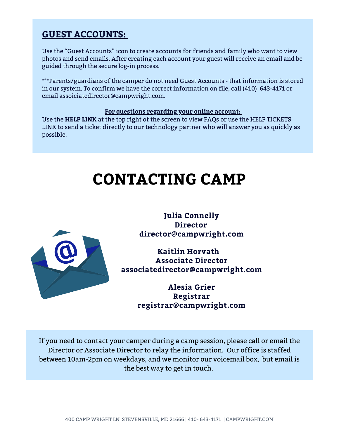#### **GUEST ACCOUNTS:**

Use the "Guest Accounts" icon to create accounts for friends and family who want to view photos and send emails. After creating each account your guest will receive an email and be guided through the secure log-in process.

\*\*\*Parents/guardians of the camper do not need Guest Accounts - that information is stored in our system. To confirm we have the correct information on file, call (410) 643-4171 or email assoiciatedirector@campwright.com.

#### **For questions regarding your online account:**

Use the **HELP LINK** at the top right of the screen to view FAQs or use the HELP TICKETS LINK to send a ticket directly to our technology partner who will answer you as quickly as possible.

### **CONTACTING CAMP**



**Julia Connelly Director director@campwright.com**

**Kaitlin Horvath Associate Director associatedirector@campwright.com**

> **Alesia Grier Registrar registrar@campwright.com**

If you need to contact your camper during a camp session, please call or email the Director or Associate Director to relay the information. Our office is staffed between 10am-2pm on weekdays, and we monitor our voicemail box, but email is the best way to get in touch.